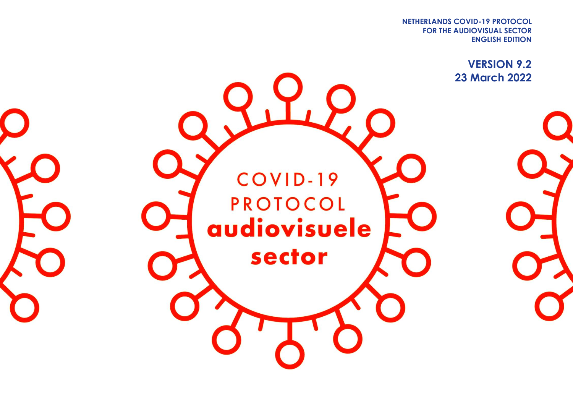**FOR THE AUDIOVISUAL SECTOR NETHERLANDS COVID-19 PROTOCOL ENGLISH EDITION**

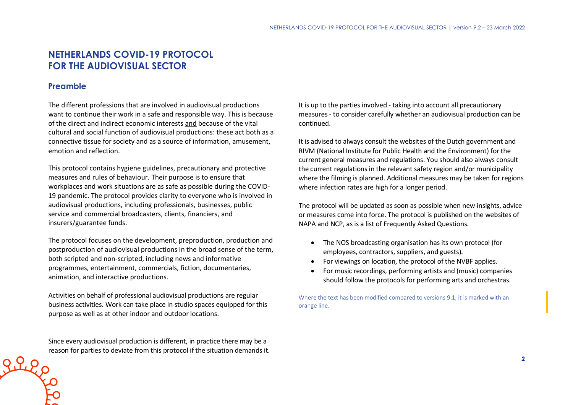# **NETHERLANDS COVID-19 PROTOCOL FOR THE AUDIOVISUAL SECTOR**

# **Preamble**

The different professions that are involved in audiovisual productions want to continue their work in a safe and responsible way. This is because of the direct and indirect economic interests and because of the vital cultural and social function of audiovisual productions: these act both as a connective tissue for society and as a source of information, amusement, emotion and reflection.

This protocol contains hygiene guidelines, precautionary and protective measures and rules of behaviour. Their purpose is to ensure that workplaces and work situations are as safe as possible during the COVID-19 pandemic. The protocol provides clarity to everyone who is involved in audiovisual productions, including professionals, businesses, public service and commercial broadcasters, clients, financiers, and insurers/guarantee funds.

The protocol focuses on the development, preproduction, production and postproduction of audiovisual productions in the broad sense of the term, both scripted and non-scripted, including news and informative programmes, entertainment, commercials, fiction, documentaries, animation, and interactive productions.

Activities on behalf of professional audiovisual productions are regular business activities. Work can take place in studio spaces equipped for this purpose as well as at other indoor and outdoor locations.

Since every audiovisual production is different, in practice there may be a reason for parties to deviate from this protocol if the situation demands it. It is up to the parties involved - taking into account all precautionary measures - to consider carefully whether an audiovisual production can be continued.

It is advised to always consult the websites of the Dutch government and RIVM (National Institute for Public Health and the Environment) for the current general measures and regulations. You should also always consult the current regulations in the relevant safety region and/or municipality where the filming is planned. Additional measures may be taken for regions where infection rates are high for a longer period.

The protocol will be updated as soon as possible when new insights, advice or measures come into force. The protocol is published on the websites of NAPA and NCP, as is a list of Frequently Asked Questions.

- The NOS broadcasting organisation has its own protocol (for employees, contractors, suppliers, and guests).
- For viewings on location, the protocol of the NVBF applies.
- For music recordings, performing artists and (music) companies should follow the protocols for performing arts and orchestras.

Where the text has been modified compared to versions 9.1, it is marked with an orange line.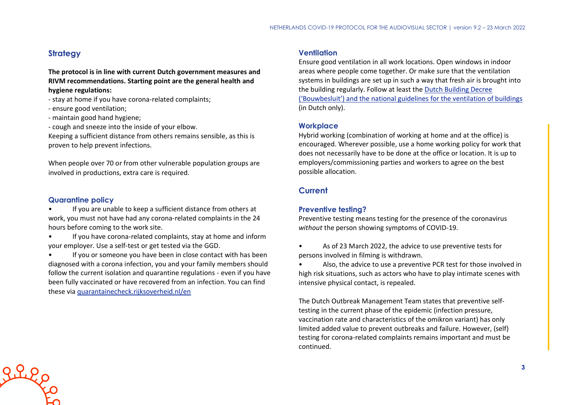# **Strategy**

**The protocol is in line with current Dutch government measures and RIVM recommendations. Starting point are the general health and hygiene regulations:**

- stay at home if you have corona-related complaints;
- ensure good ventilation;
- maintain good hand hygiene;
- cough and sneeze into the inside of your elbow.

Keeping a sufficient distance from others remains sensible, as this is proven to help prevent infections.

When people over 70 or from other vulnerable population groups are involved in productions, extra care is required.

#### **Quarantine policy**

- If you are unable to keep a sufficient distance from others at work, you must not have had any corona-related complaints in the 24 hours before coming to the work site.
- If you have corona-related complaints, stay at home and inform your employer. Use a self-test or get tested via the GGD.

If you or someone you have been in close contact with has been diagnosed with a corona infection, you and your family members should follow the current isolation and quarantine regulations - even if you have been fully vaccinated or have recovered from an infection. You can find these via [quarantainecheck.rijksoverheid.nl/en](https://quarantainecheck.rijksoverheid.nl/en)

# **Ventilation**

Ensure good ventilation in all work locations. Open windows in indoor areas where people come together. Or make sure that the ventilation systems in buildings are set up in such a way that fresh air is brought into the building regularly. Follow at least the [Dutch Building Decree](https://rijksoverheid.bouwbesluit.com/Inhoud/docs/wet/bb2012_nvt/artikelsgewijs/hfd3/afd3-6)  [\('Bouwbesluit'\) and the national guidelines for the ventilation of buildings](https://rijksoverheid.bouwbesluit.com/Inhoud/docs/wet/bb2012_nvt/artikelsgewijs/hfd3/afd3-6) (in Dutch only).

#### **Workplace**

Hybrid working (combination of working at home and at the office) is encouraged. Wherever possible, use a home working policy for work that does not necessarily have to be done at the office or location. It is up to employers/commissioning parties and workers to agree on the best possible allocation.

## **Current**

## **Preventive testing?**

Preventive testing means testing for the presence of the coronavirus *without* the person showing symptoms of COVID-19.

- As of 23 March 2022, the advice to use preventive tests for persons involved in filming is withdrawn.
- Also, the advice to use a preventive PCR test for those involved in high risk situations, such as actors who have to play intimate scenes with intensive physical contact, is repealed.

The Dutch Outbreak Management Team states that preventive selftesting in the current phase of the epidemic (infection pressure, vaccination rate and characteristics of the omikron variant) has only limited added value to prevent outbreaks and failure. However, (self) testing for corona-related complaints remains important and must be continued.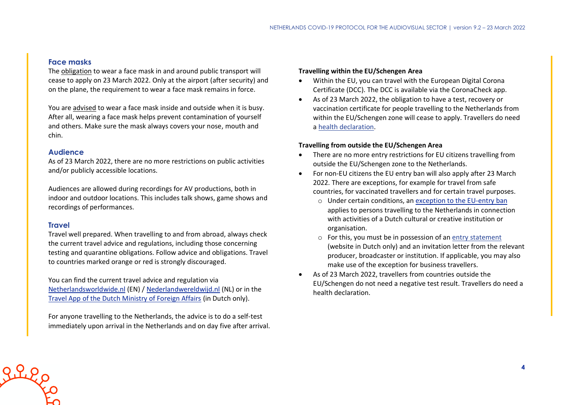#### **Face masks**

The obligation to wear a face mask in and around public transport will cease to apply on 23 March 2022. Only at the airport (after security) and on the plane, the requirement to wear a face mask remains in force.

You are advised to wear a face mask inside and outside when it is busy. After all, wearing a face mask helps prevent contamination of yourself and others. Make sure the mask always covers your nose, mouth and chin.

## **Audience**

As of 23 March 2022, there are no more restrictions on public activities and/or publicly accessible locations.

Audiences are allowed during recordings for AV productions, both in indoor and outdoor locations. This includes talk shows, game shows and recordings of performances.

## **Travel**

Travel well prepared. When travelling to and from abroad, always check the current travel advice and regulations, including those concerning testing and quarantine obligations. Follow advice and obligations. Travel to countries marked orange or red is strongly discouraged.

You can find the current travel advice and regulation via [Netherlandsworldwide.nl](https://www.netherlandsworldwide.nl/) (EN) / [Nederlandwereldwijd.nl](https://www.nederlandwereldwijd.nl/) (NL) or in the [Travel App of the Dutch Ministry of Foreign Affairs](https://www.nederlandwereldwijd.nl/documenten/vragen-en-antwoorden/reis-app-buitenlandse-zaken) (in Dutch only).

For anyone travelling to the Netherlands, the advice is to do a self-test immediately upon arrival in the Netherlands and on day five after arrival.

#### **Travelling within the EU/Schengen Area**

- Within the EU, you can travel with the European Digital Corona Certificate (DCC). The DCC is available via the CoronaCheck app.
- As of 23 March 2022, the obligation to have a test, recovery or vaccination certificate for people travelling to the Netherlands from within the EU/Schengen zone will cease to apply. Travellers do need a [health declaration.](https://www.government.nl/documents/publications/2021/07/20/covid-19-and-flying-health-declaration-form)

#### **Travelling from outside the EU/Schengen Area**

- There are no more entry restrictions for EU citizens travelling from outside the EU/Schengen zone to the Netherlands.
- For non-EU citizens the EU entry ban will also apply after 23 March 2022. There are exceptions, for example for travel from safe countries, for vaccinated travellers and for certain travel purposes.
	- o Under certain conditions, an [exception to the EU-entry ban](https://www.government.nl/topics/coronavirus-covid-19/visiting-the-netherlands-from-abroad/exemptions-to-the-entry-ban/professionals-in-the-cultural-and-creative-sectors) applies to persons travelling to the Netherlands in connection with activities of a Dutch cultural or creative institution or organisation.
	- o For this, you must be in possession of an [entry statement](https://www.inreisverklaringcultuur.nl/) (website in Dutch only) and an invitation letter from the relevant producer, broadcaster or institution. If applicable, you may also make use of the exception for business travellers.
- As of 23 March 2022, travellers from countries outside the EU/Schengen do not need a negative test result. Travellers do need a health declaration.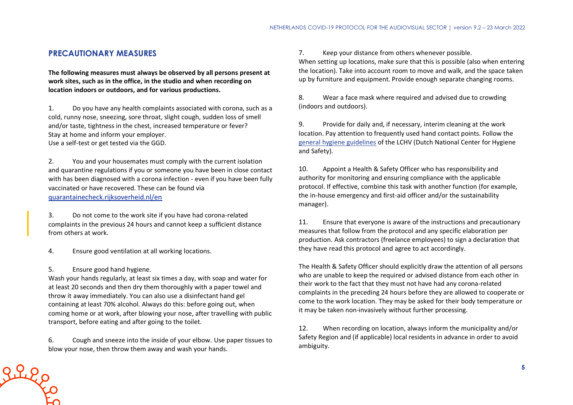## **PRECAUTIONARY MEASURES**

**The following measures must always be observed by all persons present at work sites, such as in the office, in the studio and when recording on location indoors or outdoors, and for various productions.**

1. Do you have any health complaints associated with corona, such as a cold, runny nose, sneezing, sore throat, slight cough, sudden loss of smell and/or taste, tightness in the chest, increased temperature or fever? Stay at home and inform your employer. Use a self-test or get tested via the GGD.

2. You and your housemates must comply with the current isolation and quarantine regulations if you or someone you have been in close contact with has been diagnosed with a corona infection - even if you have been fully vaccinated or have recovered. These can be found via [quarantainecheck.rijksoverheid.nl/en](https://quarantainecheck.rijksoverheid.nl/en)

3. Do not come to the work site if you have had corona-related complaints in the previous 24 hours and cannot keep a sufficient distance from others at work.

4. Ensure good ventilation at all working locations.

5. Ensure good hand hygiene.

 $2220$ 

Wash your hands regularly, at least six times a day, with soap and water for at least 20 seconds and then dry them thoroughly with a paper towel and throw it away immediately. You can also use a disinfectant hand gel containing at least 70% alcohol. Always do this: before going out, when coming home or at work, after blowing your nose, after travelling with public transport, before eating and after going to the toilet.

6. Cough and sneeze into the inside of your elbow. Use paper tissues to blow your nose, then throw them away and wash your hands.

7. Keep your distance from others whenever possible. When setting up locations, make sure that this is possible (also when entering the location). Take into account room to move and walk, and the space taken up by furniture and equipment. Provide enough separate changing rooms.

8. Wear a face mask where required and advised due to crowding (indoors and outdoors).

9. Provide for daily and, if necessary, interim cleaning at the work location. Pay attention to frequently used hand contact points. Follow the [general hygiene guidelines](https://www.rivm.nl/hygienerichtlijnen/algemeen) of the LCHV (Dutch National Center for Hygiene and Safety).

10. Appoint a Health & Safety Officer who has responsibility and authority for monitoring and ensuring compliance with the applicable protocol. If effective, combine this task with another function (for example, the in-house emergency and first-aid officer and/or the sustainability manager).

11. Ensure that everyone is aware of the instructions and precautionary measures that follow from the protocol and any specific elaboration per production. Ask contractors (freelance employees) to sign a declaration that they have read this protocol and agree to act accordingly.

The Health & Safety Officer should explicitly draw the attention of all persons who are unable to keep the required or advised distance from each other in their work to the fact that they must not have had any corona-related complaints in the preceding 24 hours before they are allowed to cooperate or come to the work location. They may be asked for their body temperature or it may be taken non-invasively without further processing.

12. When recording on location, always inform the municipality and/or Safety Region and (if applicable) local residents in advance in order to avoid ambiguity.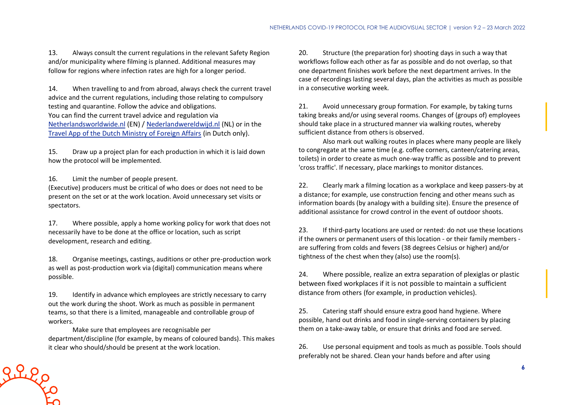13. Always consult the current regulations in the relevant Safety Region and/or municipality where filming is planned. Additional measures may follow for regions where infection rates are high for a longer period.

14. When travelling to and from abroad, always check the current travel advice and the current regulations, including those relating to compulsory testing and quarantine. Follow the advice and obligations. You can find the current travel advice and regulation via [Netherlandsworldwide.nl](https://www.netherlandsworldwide.nl/) (EN) / [Nederlandwereldwijd.nl](https://www.nederlandwereldwijd.nl/) (NL) or in the [Travel App of the Dutch Ministry of Foreign Affairs](https://www.nederlandwereldwijd.nl/documenten/vragen-en-antwoorden/reis-app-buitenlandse-zaken) (in Dutch only).

15. Draw up a project plan for each production in which it is laid down how the protocol will be implemented.

16. Limit the number of people present.

(Executive) producers must be critical of who does or does not need to be present on the set or at the work location. Avoid unnecessary set visits or spectators.

17. Where possible, apply a home working policy for work that does not necessarily have to be done at the office or location, such as script development, research and editing.

18. Organise meetings, castings, auditions or other pre-production work as well as post-production work via (digital) communication means where possible.

19. Identify in advance which employees are strictly necessary to carry out the work during the shoot. Work as much as possible in permanent teams, so that there is a limited, manageable and controllable group of workers.

Make sure that employees are recognisable per department/discipline (for example, by means of coloured bands). This makes it clear who should/should be present at the work location.

20. Structure (the preparation for) shooting days in such a way that workflows follow each other as far as possible and do not overlap, so that one department finishes work before the next department arrives. In the case of recordings lasting several days, plan the activities as much as possible in a consecutive working week.

21. Avoid unnecessary group formation. For example, by taking turns taking breaks and/or using several rooms. Changes of (groups of) employees should take place in a structured manner via walking routes, whereby sufficient distance from others is observed.

Also mark out walking routes in places where many people are likely to congregate at the same time (e.g. coffee corners, canteen/catering areas, toilets) in order to create as much one-way traffic as possible and to prevent 'cross traffic'. If necessary, place markings to monitor distances.

22. Clearly mark a filming location as a workplace and keep passers-by at a distance; for example, use construction fencing and other means such as information boards (by analogy with a building site). Ensure the presence of additional assistance for crowd control in the event of outdoor shoots.

23. If third-party locations are used or rented: do not use these locations if the owners or permanent users of this location - or their family members are suffering from colds and fevers (38 degrees Celsius or higher) and/or tightness of the chest when they (also) use the room(s).

24. Where possible, realize an extra separation of plexiglas or plastic between fixed workplaces if it is not possible to maintain a sufficient distance from others (for example, in production vehicles).

25. Catering staff should ensure extra good hand hygiene. Where possible, hand out drinks and food in single-serving containers by placing them on a take-away table, or ensure that drinks and food are served.

26. Use personal equipment and tools as much as possible. Tools should preferably not be shared. Clean your hands before and after using